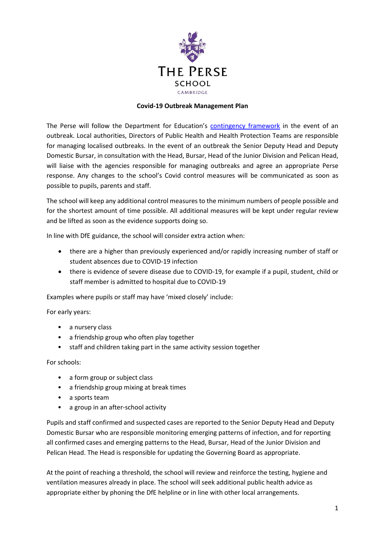

## **Covid-19 Outbreak Management Plan**

The Perse will follow the Department for Education's [contingency framework](https://assets.publishing.service.gov.uk/government/uploads/system/uploads/attachment_data/file/1011704/20210817_Contingency_Framework_FINAL.pdf) in the event of an outbreak. Local authorities, Directors of Public Health and Health Protection Teams are responsible for managing localised outbreaks. In the event of an outbreak the Senior Deputy Head and Deputy Domestic Bursar, in consultation with the Head, Bursar, Head of the Junior Division and Pelican Head, will liaise with the agencies responsible for managing outbreaks and agree an appropriate Perse response. Any changes to the school's Covid control measures will be communicated as soon as possible to pupils, parents and staff.

The school will keep any additional control measures to the minimum numbers of people possible and for the shortest amount of time possible. All additional measures will be kept under regular review and be lifted as soon as the evidence supports doing so.

In line with DfE guidance, the school will consider extra action when:

- there are a higher than previously experienced and/or rapidly increasing number of staff or student absences due to COVID-19 infection
- there is evidence of severe disease due to COVID-19, for example if a pupil, student, child or staff member is admitted to hospital due to COVID-19

Examples where pupils or staff may have 'mixed closely' include:

For early years:

- a nursery class
- a friendship group who often play together
- staff and children taking part in the same activity session together

For schools:

- a form group or subject class
- a friendship group mixing at break times
- a sports team
- a group in an after-school activity

Pupils and staff confirmed and suspected cases are reported to the Senior Deputy Head and Deputy Domestic Bursar who are responsible monitoring emerging patterns of infection, and for reporting all confirmed cases and emerging patterns to the Head, Bursar, Head of the Junior Division and Pelican Head. The Head is responsible for updating the Governing Board as appropriate.

At the point of reaching a threshold, the school will review and reinforce the testing, hygiene and ventilation measures already in place. The school will seek additional public health advice as appropriate either by phoning the DfE helpline or in line with other local arrangements.